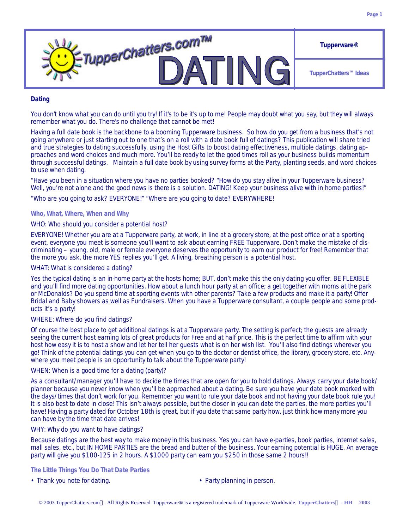

## **Dating**

You don't know what you can do until you try! If it's to be it's up to me! People may doubt what you say, but they will always remember what you do. There's no challenge that cannot be met!

Having a full date book is the backbone to a booming Tupperware business. So how do you get from a business that's not going anywhere or just starting out to one that's on a roll with a date book full of datings? This publication will share tried and true strategies to dating successfully, using the Host Gifts to boost dating effectiveness, multiple datings, dating approaches and word choices and much more. You'll be ready to let the good times roll as your business builds momentum through successful datings. Maintain a full date book by using survey forms at the Party, planting seeds, and word choices to use when dating.

"Have you been in a situation where you have no parties booked? "How do you stay alive in your Tupperware business? Well, you're not alone and the good news is there is a solution. DATING! Keep your business alive with in home parties!"

"Who are you going to ask? EVERYONE!" "Where are you going to date? EVERYWHERE!

### *Who, What, Where, When and Why*

#### *WHO: Who should you consider a potential host?*

EVERYONE! Whether you are at a Tupperware party, at work, in line at a grocery store, at the post office or at a sporting event, everyone you meet is someone you'll want to ask about earning FREE Tupperware. Don't make the mistake of discriminating – young, old, male or female everyone deserves the opportunity to earn our product for free! Remember that the more you ask, the more YES replies you'll get. A living, breathing person is a potential host.

### *WHAT: What is considered a dating?*

Yes the typical dating is an in-home party at the hosts home; BUT, don't make this the only dating you offer. BE FLEXIBLE and you'll find more dating opportunities. How about a lunch hour party at an office; a get together with moms at the park or McDonalds? Do you spend time at sporting events with other parents? Take a few products and make it a party! Offer Bridal and Baby showers as well as Fundraisers. When you have a Tupperware consultant, a couple people and some products it's a party!

## *WHERE: Where do you find datings?*

Of course the best place to get additional datings is at a Tupperware party. The setting is perfect; the guests are already seeing the current host earning lots of great products for Free and at half price. This is the perfect time to affirm with your host how easy it is to host a show and let her tell her guests what is on her wish list. You'll also find datings wherever you go! Think of the potential datings you can get when you go to the doctor or dentist office, the library, grocery store, etc. Anywhere you meet people is an opportunity to talk about the Tupperware party!

#### *WHEN: When is a good time for a dating (party)?*

As a consultant/manager you'll have to decide the times that are open for you to hold datings. Always carry your date book/ planner because you never know when you'll be approached about a dating. Be sure you have your date book marked with the days/times that don't work for you. Remember you want to rule your date book and not having your date book rule you! It is also best to date in close! This isn't always possible, but the closer in you can date the parties, the more parties you'll have! Having a party dated for October 18th is great, but if you date that same party how, just think how many more you can have by the time that date arrives!

## *WHY: Why do you want to have datings?*

Because datings are the best way to make money in this business. Yes you can have e-parties, book parties, internet sales, mall sales, etc., but IN HOME PARTIES are the bread and butter of the business. Your earning potential is HUGE. An average party will give you \$100-125 in 2 hours. A \$1000 party can earn you \$250 in those same 2 hours!!

#### *The Little Things You Do That Date Parties*

- Thank you note for dating.  **Party planning in person.**
-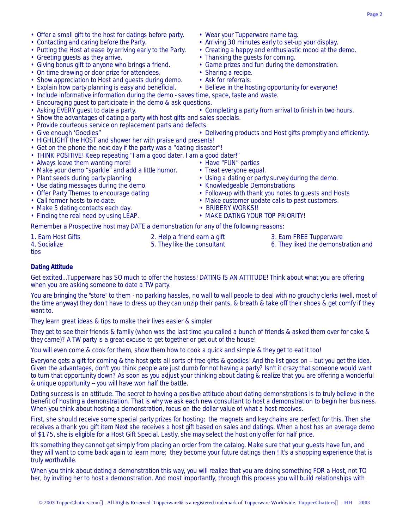- Offer a small gift to the host for datings before party. Wear your Tupperware name tag.
- Contacting and caring before the Party. **•** Arriving 30 minutes early to set-up your display.
- Putting the Host at ease by arriving early to the Party. Creating a happy and enthusiastic mood at the demo.
- Greeting quests as they arrive. • Thanking the quests for coming.
- Giving bonus gift to anyone who brings a friend. Game prizes and fun during the demonstration.
- On time drawing or door prize for attendees. Sharing a recipe.
- Show appreciation to Host and guests during demo. Ask for referrals.
- Explain how party planning is easy and beneficial. Believe in the hosting opportunity for everyone!
- Include informative information during the demo saves time, space, taste and waste.
- Encouraging guest to participate in the demo & ask questions.<br>• Asking EVERY guest to date a party. • Completing a party from arrival to finish in two hours.
- 
- Show the advantages of dating a party with host gifts and sales specials.
- Provide courteous service on replacement parts and defects.
- 
- HIGHLIGHT the HOST and shower her with praise and presents!
- Get on the phone the next day if the party was a "dating disaster"!
- THINK POSITIVE! Keep repeating "I am a good dater, I am a good dater!"
- Always leave them wanting more! Have "FUN" parties
- Make your demo "sparkle" and add a little humor. Treat everyone equal.
- 
- Use dating messages during the demo.
- 
- 
- Make 5 dating contacts each day.<br>• Finding the real need by using LEAP. • MAKE DATING YOUR TOP PRIORITY!
- Finding the real need by using LEAP.

Remember a Prospective host may DATE a demonstration for any of the following reasons:

1. Earn Host Gifts **2. Help a friend earn a gift** 3. Earn FREE Tupperware 3. Earn FREE Tupperware 3. Earn FREE Tupperware 3. Earn FREE Tupperware 3. Earn FREE Tupperware 3. Earn FREE Tupperware 3. Earn FREE Tupperware 3. T

tips

## **Dating Attitude**

Get excited...Tupperware has SO much to offer the hostess! DATING IS AN ATTITUDE! Think about what you are offering when you are asking someone to date a TW party.

You are bringing the "store" to them - no parking hassles, no wall to wall people to deal with no grouchy clerks (well, most of the time anyway) they don't have to dress up they can unzip their pants, & breath & take off their shoes & get comfy if they want to.

They learn great ideas & tips to make their lives easier & simpler

They get to see their friends & family (when was the last time you called a bunch of friends & asked them over for cake & they came)? A TW party is a great excuse to get together or get out of the house!

You will even come & cook for them, show them how to cook a quick and simple & they get to eat it too!

Everyone gets a gift for coming & the host gets all sorts of free gifts & goodies! And the list goes on -- but you get the idea. Given the advantages, don't you think people are just dumb for not having a party? Isn't it crazy that someone would want to turn that opportunity down? As soon as you adjust your thinking about dating & realize that you are offering a wonderful & unique opportunity -- you will have won half the battle.

Dating success is an attitude. The secret to having a positive attitude about dating demonstrations is to truly believe in the benefit of hosting a demonstration. That is why we ask each new consultant to host a demonstration to begin her business. When you think about hosting a demonstration, focus on the dollar value of what a host receives.

First, she should receive some special party prizes for hosting; the magnets and key chains are perfect for this. Then she receives a thank you gift item Next she receives a host gift based on sales and datings. When a host has an average demo of \$175, she is eligible for a Host Gift Special. Lastly, she may select the host only offer for half price.

It's something they cannot get simply from placing an order from the catalog. Make sure that your guests have fun, and they will want to come back again to learn more; they become your future datings then ! It's a shopping experience that is truly worthwhile.

When you think about dating a demonstration this way, you will realize that you are doing something FOR a Host, not TO her, by inviting her to host a demonstration. And most importantly, through this process you will build relationships with

- Give enough 'Goodies" Delivering products and Host gifts promptly and efficiently.
	-
	- -
- Plant seeds during party planning variable values of party survey during the demo.<br>• Use dating messages during the demo. • • Knowledgeable Demonstrations
	-
- Offer Party Themes to encourage dating Follow-up with thank you notes to quests and Hosts
- Call former hosts to re-date. Call former hosts to re-date. Make customer update calls to past customers.
	-
	-
	-
- 
- 5. They like the consultant 6. They liked the demonstration and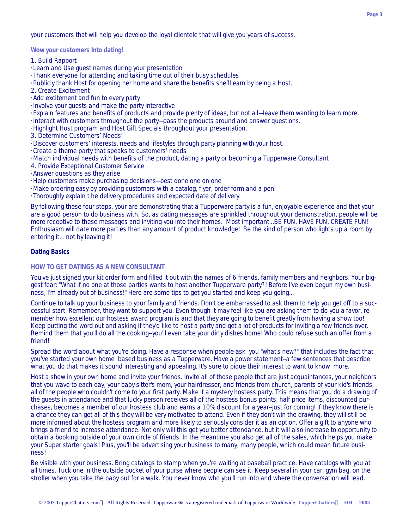your customers that will help you develop the loyal clientele that will give you years of success.

*Wow your customers Into dating!*

- 1. Build Rapport
- · Learn and Use guest names during your presentation
- · Thank everyone for attending and taking time out of their busy schedules
- · Publicly thank Host for opening her home and share the benefits she'll earn by being a Host.
- 2. Create Excitement
- · Add excitement and fun to every party
- · Involve your guests and make the party interactive
- · Explain features and benefits of products and provide plenty of ideas, but not all—leave them wanting to learn more.
- · Interact with customers throughout the party—pass the products around and answer questions.
- · Highlight Host program and Host Gift Specials throughout your presentation.
- 3. Determine Customers' Needs'
- · Discover customers' interests, needs and lifestyles through party planning with your host.
- · Create a theme party that speaks to customers' needs
- · Match individual needs with benefits of the product, dating a party or becoming a Tupperware Consultant
- 4. Provide Exceptional Customer Service
- · Answer questions as they arise
- · Help customers make purchasing decisions—best done one on one
- · Make ordering easy by providing customers with a catalog, flyer, order form and a pen
- · Thoroughly explain t he delivery procedures and expected date of delivery.

By following these four steps, your are demonstrating that a Tupperware party is a fun, enjoyable experience and that your are a good person to do business with. So, as dating messages are sprinkled throughout your demonstration, people will be more receptive to these messages and inviting you into their homes. Most important...BE FUN, HAVE FUN, CREATE FUN! Enthusiasm will date more parties than any amount of product knowledge! Be the kind of person who lights up a room by entering it… not by leaving it!

## **Dating Basics**

## *HOW TO GET DATINGS AS A NEW CONSULTANT*

You've just signed your kit order form and filled it out with the names of 6 friends, family members and neighbors. Your biggest fear: "What if no one at those parties wants to host another Tupperware party?! Before I've even begun my own business, I'm already out of business!" Here are some tips to get you started and keep you going...

Continue to talk up your business to your family and friends. Don't be embarrassed to ask them to help you get off to a successful start. Remember, they want to support you. Even though it may feel like you are asking them to do you a favor, remember how excellent our hostess award program is and that they are going to benefit greatly from having a show too! Keep putting the word out and asking if they'd like to host a party and get a lot of products for inviting a few friends over. Remind them that you'll do all the cooking--you'll even take your dirty dishes home! Who could refuse such an offer from a friend!

Spread the word about what you're doing. Have a response when people ask you "what's new?" that includes the fact that you've started your own home based business as a Tupperware. Have a power statement--a few sentences that describe what you do that makes it sound interesting and appealing. It's sure to pique their interest to want to know more.

Host a show in your own home and invite your friends. Invite all of those people that are just acquaintances, your neighbors that you wave to each day, your baby-sitter's mom, your hairdresser, and friends from church, parents of your kid's friends, all of the people who couldn't come to your first party. Make it a mystery hostess party. This means that you do a drawing of the guests in attendance and that lucky person receives all of the hostess bonus points, half price items, discounted purchases, becomes a member of our hostess club and earns a 10% discount for a year--just for coming! If they know there is a chance they can get all of this they will be very motivated to attend. Even if they don't win the drawing, they will still be more informed about the hostess program and more likely to seriously consider it as an option. Offer a gift to anyone who brings a friend to increase attendance. Not only will this get you better attendance, but it will also increase to opportunity to obtain a booking outside of your own circle of friends. In the meantime you also get all of the sales, which helps you make your Super starter goals! Plus, you'll be advertising your business to many, many people, which could mean future business!

Be visible with your business. Bring catalogs to stamp when you're waiting at baseball practice. Have catalogs with you at all times. Tuck one in the outside pocket of your purse where people can see it. Keep several in your car, gym bag, on the stroller when you take the baby out for a walk. You never know who you'll run into and where the conversation will lead.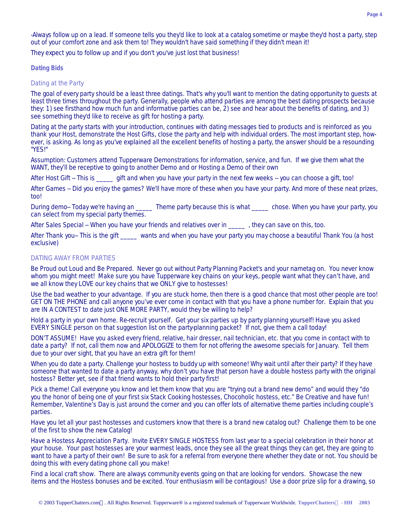-Always follow up on a lead. If someone tells you they'd like to look at a catalog sometime or maybe they'd host a party, step out of your comfort zone and ask them to! They wouldn't have said something if they didn't mean it!

They expect you to follow up and if you don't you've just lost that business!

## *Dating Bids*

## *Dating at the Party*

The goal of every party should be a least three datings. That's why you'll want to mention the dating opportunity to guests at least three times throughout the party. Generally, people who attend parties are among the best dating prospects because they: 1) see firsthand how much fun and informative parties can be, 2) see and hear about the benefits of dating, and 3) see something they'd like to receive as gift for hosting a party.

Dating at the party starts with your introduction, continues with dating messages tied to products and is reinforced as you thank your Host, demonstrate the Host Gifts, close the party and help with individual orders. The most important step, however, is asking. As long as you've explained all the excellent benefits of hosting a party, the answer should be a resounding "YES!"

Assumption: Customers attend Tupperware Demonstrations for information, service, and fun. If we give them what the WANT, they'll be receptive to going to another Demo and or Hosting a Demo of their own

After Host Gift -- This is gift and when you have your party in the next few weeks -- you can choose a gift, too!

After Games -- Did you enjoy the games? We'll have more of these when you have your party. And more of these neat prizes, too!

During demo-- Today we're having an \_\_\_\_\_\_ Theme party because this is what \_\_\_\_\_\_ chose. When you have your party, you can select from my special party themes.

After Sales Special -- When you have your friends and relatives over in \_\_\_\_\_ , they can save on this, too.

After Thank you-- This is the gift \_\_\_\_\_ wants and when you have your party you may choose a beautiful Thank You (a host exclusive)

## *DATING AWAY FROM PARTIES*

Be Proud out Loud and Be Prepared. Never go out without Party Planning Packet's and your nametag on. You never know whom you might meet! Make sure you have Tupperware key chains on your keys, people want what they can't have, and we all know they LOVE our key chains that we ONLY give to hostesses!

Use the bad weather to your advantage. If you are stuck home, then there is a good chance that most other people are too! GET ON THE PHONE and call anyone you've ever come in contact with that you have a phone number for. Explain that you are IN A CONTEST to date just ONE MORE PARTY, would they be willing to help?

Hold a party in your own home. Re-recruit yourself. Get your six parties up by party planning yourself! Have you asked EVERY SINGLE person on that suggestion list on the party-planning packet? If not, give them a call today!

DON'T ASSUME! Have you asked every friend, relative, hair dresser, nail technician, etc. that you come in contact with to date a party? If not, call them now and APOLOGIZE to them for not offering the awesome specials for January. Tell them due to your over sight, that you have an extra gift for them!

When you do date a party. Challenge your hostess to buddy up with someone! Why wait until after their party? If they have someone that wanted to date a party anyway, why don't you have that person have a double hostess party with the original hostess? Better yet, see if that friend wants to hold their party first!

Pick a theme! Call everyone you know and let them know that you are "trying out a brand new demo" and would they "do you the honor of being one of your first six Stack Cooking hostesses, Chocoholic hostess, etc." Be Creative and have fun! Remember, Valentine's Day is just around the corner and you can offer lots of alternative theme parties including couple's parties.

Have you let all your past hostesses and customers know that there is a brand new catalog out? Challenge them to be one of the first to show the new Catalog!

Have a Hostess Appreciation Party. Invite EVERY SINGLE HOSTESS from last year to a special celebration in their honor at your house. Your past hostesses are your warmest leads, once they see all the great things they can get, they are going to want to have a party of their own! Be sure to ask for a referral from everyone there whether they date or not. You should be doing this with every dating phone call you make!

Find a local craft show. There are always community events going on that are looking for vendors. Showcase the new items and the Hostess bonuses and be excited. Your enthusiasm will be contagious! Use a door prize slip for a drawing, so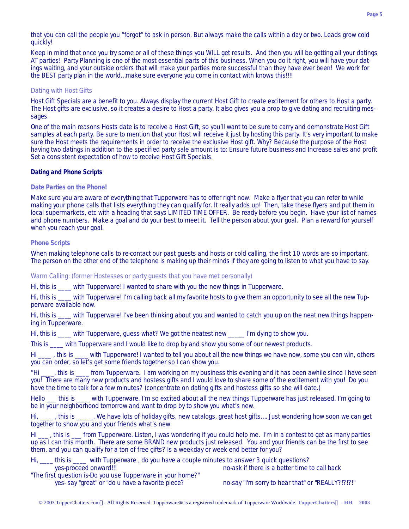that you can call the people you "forgot" to ask in person. But always make the calls within a day or two. Leads grow cold quickly!

Keep in mind that once you try some or all of these things you WILL get results. And then you will be getting all your datings AT parties! Party Planning is one of the most essential parts of this business. When you do it right, you will have your datings waiting, and your outside orders that will make your parties more successful than they have ever been! We work for the BEST party plan in the world…make sure everyone you come in contact with knows this!!!!

## *Dating with Host Gifts*

Host Gift Specials are a benefit to you. Always display the current Host Gift to create excitement for others to Host a party. The Host gifts are exclusive, so it creates a desire to Host a party. It also gives you a prop to give dating and recruiting messages.

One of the main reasons Hosts date is to receive a Host Gift, so you'll want to be sure to carry and demonstrate Host Gift samples at each party. Be sure to mention that your Host will receive it just by hosting this party. It's very important to make sure the Host meets the requirements in order to receive the exclusive Host gift. Why? Because the purpose of the Host having two datings in addition to the specified party sale amount is to: Ensure future business and Increase sales and profit Set a consistent expectation of how to receive Host Gift Specials.

### **Dating and Phone Scripts**

## *Date Parties on the Phone!*

Make sure you are aware of everything that Tupperware has to offer right now. Make a flyer that you can refer to while making your phone calls that lists everything they can qualify for. It really adds up! Then, take these flyers and put them in local supermarkets, etc with a heading that says LIMITED TIME OFFER. Be ready before you begin. Have your list of names and phone numbers. Make a goal and do your best to meet it. Tell the person about your goal. Plan a reward for yourself when you reach your goal.

### *Phone Scripts*

When making telephone calls to re-contact our past guests and hosts or cold calling, the first 10 words are so important. The person on the other end of the telephone is making up their minds if they are going to listen to what you have to say.

#### *Warm Calling: (former Hostesses or party guests that you have met personally)*

Hi, this is \_\_\_\_ with Tupperware! I wanted to share with you the new things in Tupperware.

Hi, this is \_\_\_\_ with Tupperware! I'm calling back all my favorite hosts to give them an opportunity to see all the new Tupperware available now.

Hi, this is \_\_\_\_ with Tupperware! I've been thinking about you and wanted to catch you up on the neat new things happening in Tupperware.

Hi, this is with Tupperware, quess what? We got the neatest new I'm dying to show you.

This is \_\_\_\_ with Tupperware and I would like to drop by and show you some of our newest products.

Hi \_\_\_\_\_ , this is \_\_\_\_ with Tupperware! I wanted to tell you about all the new things we have now, some you can win, others you can order, so let's get some friends together so I can show you.

"Hi \_\_\_\_, this is \_\_\_\_ from Tupperware. I am working on my business this evening and it has been awhile since I have seen you! There are many new products and hostess gifts and I would love to share some of the excitement with you! Do you have the time to talk for a few minutes? (concentrate on dating gifts and hostess gifts so she will date.)

Hello this is with Tupperware. I'm so excited about all the new things Tupperware has just released. I'm going to be in your neighborhood tomorrow and want to drop by to show you what's new.

Hi, \_\_\_\_ , this is \_\_\_\_\_. We have lots of holiday gifts, new catalogs, great host gifts…. Just wondering how soon we can get together to show you and your friends what's new.

Hi , this is from Tupperware. Listen, I was wondering if you could help me. I'm in a contest to get as many parties up as I can this month. There are some BRAND new products just released. You and your friends can be the first to see them, and you can qualify for a ton of free gifts? Is a weekday or week end better for you?

| with Tupperware, do you have a couple minutes to answer 3 quick questions?<br>Hi.<br>this is |                                                   |
|----------------------------------------------------------------------------------------------|---------------------------------------------------|
| yes-proceed onward!!!                                                                        | no-ask if there is a better time to call back     |
| "The first question is-Do you use Tupperware in your home?"                                  |                                                   |
| yes-say "great" or "do u have a favorite piece?                                              | no-say "I'm sorry to hear that" or "REALLY?!?!?!" |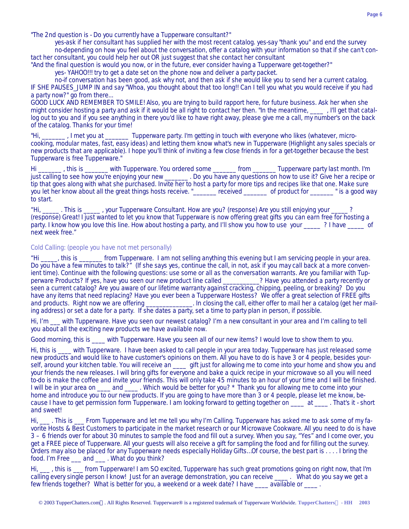"The 2nd question is - Do you currently have a Tupperware consultant?"

yes-ask if her consultant has supplied her with the most recent catalog. yes-say "thank you" and end the survey no-depending on how you feel about the conversation, offer a catalog with your information so that if she can't contact her consultant, you could help her out OR just suggest that she contact her consultant

"And the final question is would you now, or in the future, ever consider having a Tupperware get-together?"

yes- YAHOO!!! try to get a date set on the phone now and deliver a party packet.

no-if conversation has been good, ask why not, and then ask if she would like you to send her a current catalog. IF SHE PAUSES\_JUMP IN and say "Whoa, you thought about that too long!! Can I tell you what you would receive if you had a party now?" go from there...

GOOD LUCK AND REMEMBER TO SMILE! Also, you are trying to build rapport here, for future business. Ask her when she might consider hosting a party and ask if it would be all right to contact her then. "In the meantime, \_\_\_\_ , I'll get that catallog out to you and if you see anything in there you'd like to have right away, please give me a call, my number's on the back of the catalog. Thanks for your time!

"Hi, \_\_\_\_\_\_\_ , I met you at \_\_\_\_\_\_\_ Tupperware party. I'm getting in touch with everyone who likes (whatever, microcooking, modular mates, fast, easy ideas) and letting them know what's new in Tupperware (Highlight any sales specials or new products that are applicable). I hope you'll think of inviting a few close friends in for a get-together because the best Tupperware is free Tupperware."

Hi \_\_\_\_\_\_\_ , this is \_\_\_\_\_\_\_ with Tupperware. You ordered some \_\_\_\_\_\_\_ from \_\_\_\_\_\_\_ Tupperware party last month. I'm just calling to see how you're enjoying your new \_\_\_\_\_\_\_ . Do you have any questions on how to use it? Give her a recipe or tip that goes along with what she purchased. Invite her to host a party for more tips and recipes like that one. Make sure you let her know about all the great things hosts receive. "\_\_\_\_\_\_\_ received \_\_\_\_\_\_\_ of product for \_\_\_\_\_\_\_ " is a good way to start.

. This is \_\_\_\_\_, your Tupperware Consultant. How are you? (response) Are you still enjoying your \_\_\_ (response) Great! I just wanted to let you know that Tupperware is now offering great gifts you can earn free for hosting a party. I know how you love this line. How about hosting a party, and I'll show you how to use your ? I have of next week free."

## *Cold Calling: (people you have not met personally)*

"Hi \_\_\_\_\_, this is \_\_\_\_\_\_\_ from Tupperware. I am not selling anything this evening but I am servicing people in your area. Do you have a few minutes to talk?" (If she says yes, continue the call, in not, ask if you may call back at a more convenient time). Continue with the following questions: use some or all as the conversation warrants. Are you familiar with Tupperware Products? If yes, have you seen our new product line called \_\_\_\_\_\_\_\_\_\_\_? Have you attended a party recently or seen a current catalog? Are you aware of our lifetime warranty against cracking, chipping, peeling, or breaking? Do you have any items that need replacing? Have you ever been a Tupperware Hostess? We offer a great selection of FREE gifts and products. Right now we are offering \_\_\_\_\_\_\_\_\_\_\_\_\_. In closing the call, either offer to mail her a c Let are offer to mail here are of are catalog (get her mailing address) or set a date for a party. If she dates a party, set a time to party plan in person, if possible.

Hi, I'm \_\_\_ with Tupperware. Have you seen our newest catalog? I'm a new consultant in your area and I'm calling to tell you about all the exciting new products we have available now.

Good morning, this is \_\_\_\_ with Tupperware. Have you seen all of our new items? I would love to show them to you.

Hi, this is with Tupperware. I have been asked to call people in your area today. Tupperware has just released some new products and would like to have customer's opinions on them. All you have to do is have 3 or 4 people, besides yourself, around your kitchen table. You will receive an \_\_\_\_ gift just for allowing me to come into your home and show you and your friends the new releases. I will bring gifts for everyone and bake a quick recipe in your microwave so all you will need to-do is make the coffee and invite your friends. This will only take 45 minutes to an hour of your time and I will be finished. I will be in your area on \_\_\_\_ and \_\_\_\_. Which would be better for you? \* Thank you for allowing me to come into your home and introduce you to our new products. If you are going to have more than 3 or 4 people, please let me know, because I have to get permission form Tupperware. I am looking forward to getting together on \_\_\_\_ at \_\_\_\_ . That's it - short and sweet!

Hi, \_\_\_ . This is \_\_\_\_ From Tupperware and let me tell you why I'm Calling. Tupperware has asked me to ask some of my favorite Hosts & Best Customers to participate in the market research or our Microwave Cookware. All you need to do is have 3 – 6 friends over for about 30 minutes to sample the food and fill out a survey. When you say, "Yes" and I come over, you get a FREE piece of Tupperware. All your guests will also receive a gift for sampling the food and for filling out the survey. Orders may also be placed for any Tupperware needs especially Holiday Gifts…Of course, the best part is . . . . I bring the food. I'm Free \_\_\_ and \_\_\_ . What do you think?

Hi, \_\_\_ , this is \_\_\_ from Tupperware! I am SO excited, Tupperware has such great promotions going on right now, that I'm calling every single person I know! Just for an average demonstration, you can receive \_\_\_\_ . What do you say we get a few friends together? What is better for you, a weekend or a week date? I have \_\_\_\_ available or \_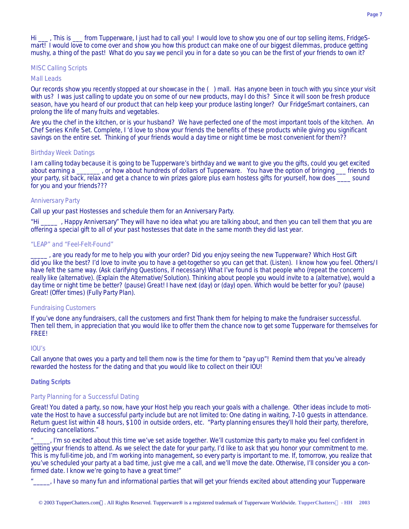Hi . This is from Tupperware, I just had to call you! I would love to show you one of our top selling items, FridgeSmart! I would love to come over and show you how this product can make one of our biggest dilemmas, produce getting mushy, a thing of the past! What do you say we pencil you in for a date so you can be the first of your friends to own it?

#### *MISC Calling Scripts*

## Mall Leads

Our records show you recently stopped at our showcase in the ( ) mall. Has anyone been in touch with you since your visit with us? I was just calling to update you on some of our new products, may I do this? Since it will soon be fresh produce season, have you heard of our product that can help keep your produce lasting longer? Our FridgeSmart containers, can prolong the life of many fruits and vegetables.

Are you the chef in the kitchen, or is your husband? We have perfected one of the most important tools of the kitchen. An Chef Series Knife Set. Complete, I 'd love to show your friends the benefits of these products while giving you significant savings on the entire set. Thinking of your friends would a day time or night time be most convenient for them??

## Birthday Week Datings

I am calling today because it is going to be Tupperware's birthday and we want to give you the gifts, could you get excited about earning a a solution of how about hundreds of dollars of Tupperware. You have the option of bringing a striends to your party, sit back, relax and get a chance to win prizes galore plus earn hostess gifts for yourself, how does sound for you and your friends???

### Anniversary Party

Call up your past Hostesses and schedule them for an Anniversary Party.

, Happy Anniversary" They will have no idea what you are talking about, and then you can tell them that you are offering a special gift to all of your past hostesses that date in the same month they did last year.

### "LEAP" and "Feel-Felt-Found"

\_\_\_\_\_ , are you ready for me to help you with your order? Did you enjoy seeing the new Tupperware? Which Host Gift did you like the best? I'd love to invite you to have a get-together so you can get that. (Listen). I know how you feel. Others/I have felt the same way. (Ask clarifying Questions, if necessary) What I've found is that people who (repeat the concern) really like (alternative). (Explain the Alternative/Solution). Thinking about people you would invite to a (alternative), would a day time or night time be better? (pause) Great! I have next (day) or (day) open. Which would be better for you? (pause) Great! (Offer times) (Fully Party Plan).

### Fundraising Customers

If you've done any fundraisers, call the customers and first Thank them for helping to make the fundraiser successful. Then tell them, in appreciation that you would like to offer them the chance now to get some Tupperware for themselves for FREE!

#### $IOU's$

Call anyone that owes you a party and tell them now is the time for them to "pay up"! Remind them that you've already rewarded the hostess for the dating and that you would like to collect on their IOU!

## *Dating Scripts*

#### *Party Planning for a Successful Dating*

Great! You dated a party, so now, have your Host help you reach your goals with a challenge. Other ideas include to motivate the Host to have a successful party include but are not limited to: One dating in waiting, 7-10 guests in attendance. Return guest list within 48 hours, \$100 in outside orders, etc. "Party planning ensures they'll hold their party, therefore, reducing cancellations."

... I'm so excited about this time we've set aside together. We'll customize this party to make you feel confident in getting your friends to attend. As we select the date for your party, I'd like to ask that you honor your commitment to me. This is my full-time job, and I'm working into management, so every party is important to me. If, tomorrow, you realize that you've scheduled your party at a bad time, just give me a call, and we'll move the date. Otherwise, I'll consider you a confirmed date. I know we're going to have a great time!"

..., I have so many fun and informational parties that will get your friends excited about attending your Tupperware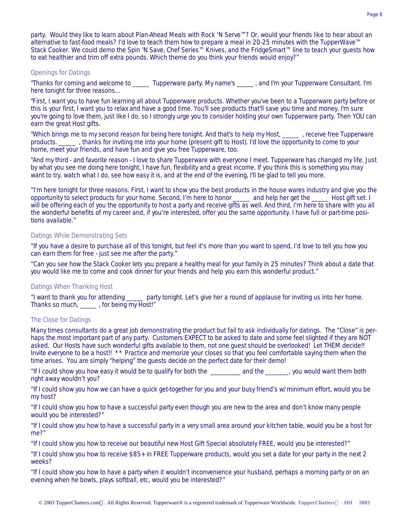party. Would they like to learn about Plan-Ahead Meals with Rock 'N Serve™? Or, would your friends like to hear about an alternative to fast-food meals? I'd love to teach them how to prepare a meal in 20-25 minutes with the TupperWave™ Stack Cooker. We could demo the Spin 'N Save, Chef Series™ Knives, and the FridgeSmart™ line to teach your guests how to eat healthier and trim off extra pounds. Which theme do you think your friends would enjoy?"

## *Openings for Datings*

"Thanks for coming and welcome to \_\_\_\_\_ Tupperware party. My name's \_\_\_\_\_ , and I'm your Tupperware Consultant. I'm here tonight for three reasons…

"First, I want you to have fun learning all about Tupperware products. Whether you've been to a Tupperware party before or this is your first, I want you to relax and have a good time. You'll see products that'll save you time and money. I'm sure you're going to love them, just like I do, so I strongly urge you to consider holding your own Tupperware party. Then YOU can earn the great Host gifts.

"Which brings me to my second reason for being here tonight. And that's to help my Host, \_\_\_\_\_ , receive free Tupperware products. \_\_\_\_\_ , thanks for inviting me into your home (present gift to Host). I'd love the opportunity to come to your home, meet your friends, and have fun and give you free Tupperware, too.

"And my third - and favorite reason - I love to share Tupperware with everyone I meet. Tupperware has changed my life. Just by what you see me doing here tonight, I have fun, flexibility and a great income. If you think this is something you may want to try, watch what I do, see how easy it is, and at the end of the evening, I'll be glad to tell you more.

"I'm here tonight for three reasons. First, I want to show you the best products in the house wares industry and give you the opportunity to select products for your home. Second, I'm here to honor \_\_\_\_\_ and help her get the \_\_\_\_\_ Host gift set. I will be offering each of you the opportunity to host a party and receive gifts as well. And third, I'm here to share with you all the wonderful benefits of my career and, if you're interested, offer you the same opportunity. I have full or part-time positions available."

## *Datings While Demonstrating Sets*

"If you have a desire to purchase all of this tonight, but feel it's more than you want to spend, I'd love to tell you how you can earn them for free - just see me after the party."

"Can you see how the Stack Cooker lets you prepare a healthy meal for your family in 25 minutes? Think about a date that you would like me to come and cook dinner for your friends and help you earn this wonderful product."

## *Datings When Thanking Host*

"I want to thank you for attending \_\_\_\_\_ party tonight. Let's give her a round of applause for inviting us into her home. Thanks so much, \_\_\_\_\_ , for being my Host!"

## *The Close for Datings*

Many times consultants do a great job demonstrating the product but fail to ask individually for datings. The "Close" is perhaps the most important part of any party. Customers EXPECT to be asked to date and some feel slighted if they are NOT asked. Our Hosts have such wonderful gifts available to them, not one guest should be overlooked! Let THEM decide!! Invite everyone to be a host!! \*\* Practice and memorize your closes so that you feel comfortable saying them when the time arises. You are simply "helping" the guests decide on the perfect date for their demo!

"If I could show you how easy it would be to qualify for both the \_\_\_\_\_\_\_\_\_ and the \_\_\_\_\_\_\_, you would want them both right away wouldn't you?

"If I could show you how we can have a quick get-together for you and your busy friend's w/minimum effort, would you be my host?

"If I could show you how to have a successful party even though you are new to the area and don't know many people would you be interested?"

"If I could show you how to have a successful party in a very small area around your kitchen table, would you be a host for me?"

"If I could show you how to receive our beautiful new Host Gift Special absolutely FREE, would you be interested?"

"If I could show you how to receive \$85+ in FREE Tupperware products, would you set a date for your party in the next 2 weeks?

"If I could show you how to have a party when it wouldn't inconvenience your husband, perhaps a morning party or on an evening when he bowls, plays softball, etc, would you be interested?"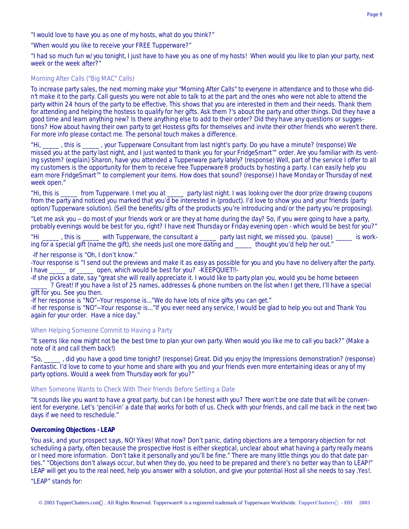"I would love to have you as one of my hosts, what do you think?"

"When would you like to receive your FREE Tupperware?"

"I had so much fun w/you tonight, I just have to have you as one of my hosts! When would you like to plan your party, next week or the week after?"

## *Morning After Calls ("Big MAC" Calls)*

To increase party sales, the next morning make your "Morning After Calls" to everyone in attendance and to those who didn't make it to the party. Call guests you were not able to talk to at the part and the ones who were not able to attend the party within 24 hours of the party to be effective. This shows that you are interested in them and their needs. Thank them for attending and helping the hostess to qualify for her gifts. Ask them ?'s about the party and other things. Did they have a good time and learn anything new? Is there anything else to add to their order? Did they have any questions or suggestions? How about having their own party to get Hostess gifts for themselves and invite their other friends who weren't there. For more info please contact me. The personal touch makes a difference.

"Hi, \_\_\_\_\_ , this is \_\_\_\_\_ , your Tupperware Consultant from last night's party. Do you have a minute? (response) We missed you at the party last night, and I just wanted to thank you for your FridgeSmart™ order. Are you familiar with its venting system? (explain) Sharon, have you attended a Tupperware party lately? (response) Well, part of the service I offer to all my customers is the opportunity for them to receive free Tupperware® products by hosting a party. I can easily help you earn more FridgeSmart™ to complement your items. How does that sound? (response) I have Monday or Thursday of next week open."

"Hi, this is \_\_\_\_\_ from Tupperware. I met you at \_\_\_\_\_ party last night. I was looking over the door prize drawing coupons from the party and noticed you marked that you'd be interested in (product). I'd love to show you and your friends (party option/Tupperware solution). (Sell the benefits/gifts of the products you're introducing and/or the party you're proposing).

"Let me ask you -- do most of your friends work or are they at home during the day? So, if you were going to have a party, probably evenings would be best for you, right? I have next Thursday or Friday evening open - which would be best for you?"

"Hi \_\_\_\_\_\_, this is \_\_\_\_\_ with Tupperware, the consultant a \_\_\_\_\_ party last night, we missed you. (pause) \_\_\_\_\_ is working for a special gift (name the gift), she needs just one more dating and \_\_\_\_\_ thought you'd help her out."

-If her response is "Oh, I don't know."

-Your response is "I send out the previews and make it as easy as possible for you and you have no delivery after the party. I have \_\_\_\_\_ or \_\_\_\_\_ open, which would be best for you? -KEEPQUIET!!-

-If she picks a date, say "great she will really appreciate it. I would like to party plan you, would you be home between ? Great! If you have a list of 25 names, addresses & phone numbers on the list when I get there, I'll have a special gift for you. See you then.

-If her response is "NO"--Your response is..."We do have lots of nice gifts you can get."

-If her response is "NO"—Your response is..."If you ever need any service, I would be glad to help you out and Thank You again for your order. Have a nice day."

## *When Helping Someone Commit to Having a Party*

"It seems like now might not be the best time to plan your own party. When would you like me to call you back?" (Make a note of it and call them back!)

"So, \_\_\_\_\_ , did you have a good time tonight? (response) Great. Did you enjoy the Impressions demonstration? (response) Fantastic. I'd love to come to your home and share with you and your friends even more entertaining ideas or any of my party options. Would a week from Thursday work for you?"

## *When Someone Wants to Check With Their friends Before Setting a Date*

"It sounds like you want to have a great party, but can I be honest with you? There won't be one date that will be convenient for everyone. Let's 'pencil-in' a date that works for both of us. Check with your friends, and call me back in the next two days if we need to reschedule."

## **Overcoming Objections - LEAP**

You ask, and your prospect says, NO! Yikes! What now? Don't panic, dating objections are a temporary objection for not scheduling a party, often because the prospective Host is either skeptical, unclear about what having a party really means or I need more information. Don't take it personally and you'll be fine." There are many little things you do that date parties." "Objections don't always occur, but when they do, you need to be prepared and there's no better way than to LEAP!" LEAP will get you to the real need, help you answer with a solution, and give your potential Host all she needs to say .Yes!.

"LEAP" stands for: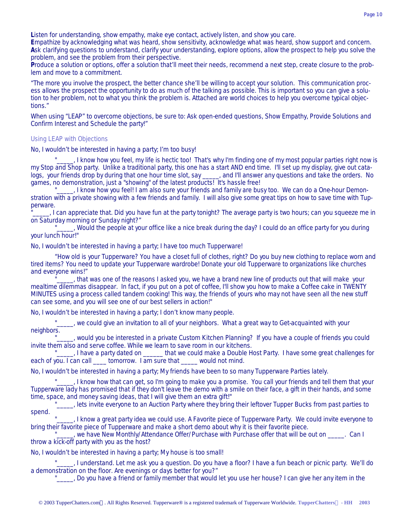**L**isten for understanding, show empathy, make eye contact, actively listen, and show you care.

**E**mpathize by acknowledging what was heard, show sensitivity, acknowledge what was heard, show support and concern. **A**sk clarifying questions to understand, clarify your understanding, explore options, allow the prospect to help you solve the problem, and see the problem from their perspective.

**P**roduce a solution or options, offer a solution that'll meet their needs, recommend a next step, create closure to the problem and move to a commitment.

"The more you involve the prospect, the better chance she'll be willing to accept your solution. This communication process allows the prospect the opportunity to do as much of the talking as possible. This is important so you can give a solution to her problem, not to what you think the problem is. Attached are world choices to help you overcome typical objections."

When using "LEAP" to overcome objections, be sure to: Ask open-ended questions, Show Empathy, Provide Solutions and Confirm Interest and Schedule the party!"

## *Using LEAP with Objections*

### *No, I wouldn't be interested in having a party; I'm too busy!*

"\_\_\_\_, I know how you feel, my life is hectic too! That's why I'm finding one of my most popular parties right now is my Stop and Shop party. Unlike a traditional party, this one has a start AND end time. I'll set up my display, give out catalogs, your friends drop by during that one hour time slot, say \_\_\_\_, and I'll answer any questions and take the orders. No games, no demonstration, just a "showing" of the latest products! It's hassle free!

"\_\_\_\_\_, I know how you feel! I am also sure your friends and family are busy too. We can do a One-hour Demonstration with a private showing with a few friends and family. I will also give some great tips on how to save time with Tupperware.

... I can appreciate that. Did you have fun at the party tonight? The average party is two hours; can you squeeze me in on Saturday morning or Sunday night?"

"<sup>1</sup> \_\_\_\_, Would the people at your office like a nice break during the day? I could do an office party for you during your lunch hour!"

### *No, I wouldn't be interested in having a party; I have too much Tupperware!*

"How old is your Tupperware? You have a closet full of clothes, right? Do you buy new clothing to replace worn and tired items? You need to update your Tupperware wardrobe! Donate your old Tupperware to organizations like churches and everyone wins!"

..., that was one of the reasons I asked you, we have a brand new line of products out that will make your mealtime dilemmas disappear. In fact, if you put on a pot of coffee, I'll show you how to make a Coffee cake in TWENTY MINUTES using a process called tandem cooking! This way, the friends of yours who may not have seen all the new stuff can see some, and you will see one of our best sellers in action!"

*No, I wouldn't be interested in having a party; I don't know many people.*

, we could give an invitation to all of your neighbors. What a great way to Get-acquainted with your neighbors.

..., would you be interested in a private Custom Kitchen Planning? If you have a couple of friends you could invite them also and serve coffee. While we learn to save room in our kitchens.

"<sub>\_\_\_\_\_</sub>, I have a party dated on \_\_\_\_\_\_\_ that we could make a Double Host Party. I have some great challenges for each of you. I can call \_\_\_\_\_ tomorrow. I am sure that \_\_\_\_\_ would not mind.

*No, I wouldn't be interested in having a party; My friends have been to so many Tupperware Parties lately.*

. I know how that can get, so I'm going to make you a promise. You call your friends and tell them that your Tupperware lady has promised that if they don't leave the demo with a smile on their face, a gift in their hands, and some time, space, and money saving ideas, that I will give them an extra gift!"

"<sub>\_\_\_\_\_</sub>, lets invite everyone to an Auction Party where they bring their leftover Tupper Bucks from past parties to spend.

"\_\_\_\_\_, I know a great party idea we could use. A Favorite piece of Tupperware Party. We could invite everyone to bring their favorite piece of Tupperware and make a short demo about why it is their favorite piece.

", we have New Monthly/Attendance Offer/Purchase with Purchase offer that will be out on \_\_\_\_\_. Can I throw a kick-off party with you as the host?

#### *No, I wouldn't be interested in having a party; My house is too small!*

I understand. Let me ask you a question. Do you have a floor? I have a fun beach or picnic party. We'll do a demonstration on the floor. Are evenings or days better for you?"

"\_\_\_\_\_, Do you have a friend or family member that would let you use her house? I can give her any item in the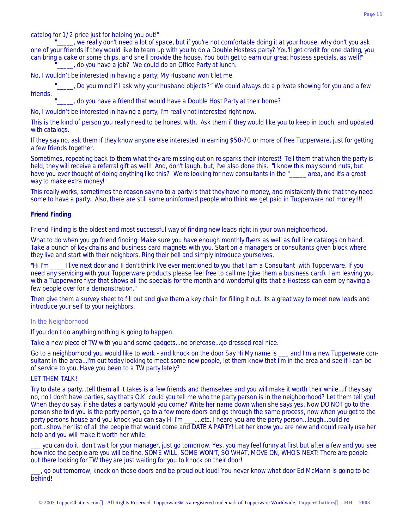catalog for 1/2 price just for helping you out!"

, we really don't need a lot of space, but if you're not comfortable doing it at your house, why don't you ask one of your friends if they would like to team up with you to do a Double Hostess party? You'll get credit for one dating, you can bring a cake or some chips, and she'll provide the house. You both get to earn our great hostess specials, as well!" do you have a job? We could do an Office Party at lunch.

*No, I wouldn't be interested in having a party; My Husband won't let me.*

..., Do you mind if I ask why your husband objects?" We could always do a private showing for you and a few friends.

 $\Box$ , do you have a friend that would have a Double Host Party at their home?

*No, I wouldn't be interested in having a party; I'm really not interested right now.* 

This is the kind of person you really need to be honest with. Ask them if they would like you to keep in touch, and updated with catalogs.

If they say no, ask them if they know anyone else interested in earning \$50-70 or more of free Tupperware, just for getting a few friends together.

Sometimes, repeating back to them what they are missing out on re-sparks their interest! Tell them that when the party is held, they will receive a referral gift as well! And, don't laugh, but, I've also done this. "I know this may sound nuts, but have you ever thought of doing anything like this? We're looking for new consultants in the " area, and it's a great way to make extra money!"

This really works, sometimes the reason say no to a party is that they have no money, and mistakenly think that they need some to have a party. Also, there are still some uninformed people who think we get paid in Tupperware not money!!!!

## **Friend Finding**

Friend Finding is the oldest and most successful way of finding new leads right in your own neighborhood.

What to do when you go friend finding: Make sure you have enough monthly flyers as well as full line catalogs on hand. Take a bunch of key chains and business card magnets with you. Start on a managers or consultants given block where they live and start with their neighbors. Ring their bell and simply introduce yourselves.

"Hi I'm \_\_\_\_ I live next door and II don't think I've ever mentioned to you that I am a Consultant with Tupperware. If you need any servicing with your Tupperware products please feel free to call me (give them a business card). I am leaving you with a Tupperware flyer that shows all the specials for the month and wonderful gifts that a Hostess can earn by having a few people over for a demonstration."

Then give them a survey sheet to fill out and give them a key chain for filling it out. Its a great way to meet new leads and introduce your self to your neighbors.

## *In the Neighborhood*

If you don't do anything nothing is going to happen.

Take a new piece of TW with you and some gadgets...no briefcase...go dressed real nice.

Go to a neighborhood you would like to work - and knock on the door Say Hi My name is \_\_\_ and I'm a new Tupperware consultant in the area...I'm out today looking to meet some new people, let them know that I'm in the area and see if I can be of service to you. Have you been to a TW party lately?

## LET THEM TALK!

Try to date a party...tell them all it takes is a few friends and themselves and you will make it worth their while...if they say no, no I don't have parties, say that's O.K. could you tell me who the party person is in the neighborhood? Let them tell you! When they do say, if she dates a party would you come? Write her name down when she says yes. Now DO NOT go to the person she told you is the party person, go to a few more doors and go through the same process, now when you get to the party persons house and you knock you can say Hi I'm \_\_\_....etc. I heard you are the party person...laugh...build report...show her list of all the people that would come and DATE A PARTY! Let her know you are new and could really use her help and you will make it worth her while!

\_\_\_ you can do it, don't wait for your manager, just go tomorrow. Yes, you may feel funny at first but after a few and you see how nice the people are you will be fine. SOME WILL, SOME WON'T, SO WHAT, MOVE ON, WHO'S NEXT! There are people out there looking for TW they are just waiting for you to knock on their door!

\_\_\_, go out tomorrow, knock on those doors and be proud out loud! You never know what door Ed McMann is going to be behind!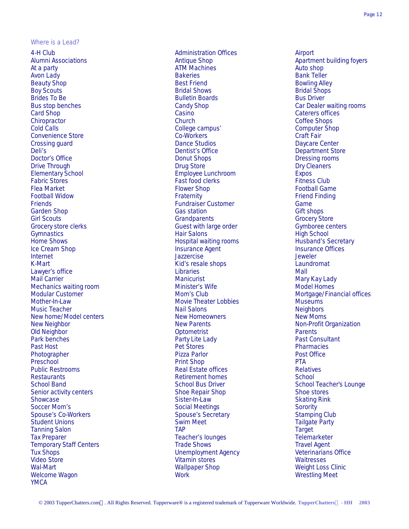#### *Where is a Lead?*

4-H Club Administration Offices Airport Alumni Associations and the Community of Antique Shop Apartment building foyers<br>At a party Action Action ATM Machines<br>Antique Shop Auto shop Auto Shop At a party **ATM Machines** ATM Machines Avon Lady Bakeries Bank Teller Beauty Shop **Best Friend** Best Friend Bowling Alley Boy Scouts **Bridal Shows** Bridal Shows **Bridal Shows** Bridal Shops Bridal Shops Bridal Shops Brides To Be **Bulletin Boards** Bulletin Boards **Bulletin Boards** Bus Driver Bus stop benches Candy Shop Car Dealer waiting rooms Card Shop Casino Casino Casino Casino Card Shop Caterers offices<br>
Chiropractor Chiropractor Chiropractor Chiropractor Context Context Context Context Context Context Context Context Context Context Context Context Context Chiropractor Church Coffee Shops Cold Calls College campus' Computer Shop Convenience Store Co-Workers Co-Workers Convenience Store Craft Fair<br>Crossing guard Crossing Co-Workers Craft Fair Crossing guard Crossing guard **Crossing guard** Crossing guard Crossing guard Crossing guard Center Center Center Daycare Center<br>Dentist's Office Crossing Department Sto Deli's Dentist's Office and Dentist's Office and Department Store Department Store Department Store Department Store Department Store Department Store Department Store Department Store Department Store Department Store Dep Drive Through Drug Store Drug Store Drug Store Drug Store Drug Store Dry Cleaners Elementary School Employee Lunchroom Expos Fabric Stores **Fast food clerks** Fast food clerks **Fitness Club** Flea Market **Flower Shop Football Game** Football Game Football Game Football Widow Fraternity Friend Finding Friends Fundraiser Customer Game Garden Shop Gas station Gas station Gas Station Gift shops Gift shops Gift shops Gift shops Gift shops Gift shops Gift shops Gift shops Gift shops Gift shops Gift shops Gift shops Gift shops Gift shops Gift shops Gift shop Girl Scouts<br>Grocery Store Clerks Grocery Store<br>Grocery Store Clerks Grocery Store Genters Guest with large order Grocery Gymboree centers Grocery store clerks Guest with large order Gymnastics **Hair Salons** Hair Salons **Hair Salons** High School Home Shows **Hospital waiting rooms** Husband's Secretary Ice Cream Shop **Insurance Agent** Insurance Agent Insurance Offices<br>
Internet Internet Internet Internet Jazzercise Jeweler Kid's resale shops Laundromat Communications and Kid's resale shops Laundromat Lawyer's office **Lawyer's office** and the Libraries **Lawyer's office** Mall Mail Carrier Manicurist Manicurist Manicurist Manicurist Manicurist Mary Kay Lady<br>
Mechanics waiting room Minister's Wife Model Homes Mechanics waiting room Minister's Wife Mother-In-Law **Mother-In-Law Mother-In-Law Museums** Museums Museums Museums Museums Music Teacher National Salons National Salons Neighbors Neighbors Neighbors Neighbors Neighbors Neighbors Neighbors New home/Model centers New Homeowners New Homeowners New Moms New Neighbor New Parents New Parents Non-Profit Organization Old Neighbor Optometrist Parents Park benches **Party Lite Lady** Party Lite Lady Party Past Consultant Past Host Pharmacies **Pet Stores Pharmacies** Pharmacies Pharmacies Pharmacies Pharmacies Photographer **Protographer Protographer Pizza Parlor** Post Office Post Office Preschool Print Shop Preschool Print Shop Print Shop Print Shop Print Shop Print Shop Print Shop Print Shop Pri Public Restrooms Real Estate offices Relatives Restaurants **Retirement homes** School School Band School Bus Driver School Bus Driver School Teacher's Lounge Senior activity centers The Shoe Repair Shop Shoe Shoe stores Shoe stores Showcase Showcase Sister-In-Law Sister-In-Law Skating Rink Soccer Mom's Social Meetings Social Meetings Social Meetings Social Meetings Social Meetings Social Meetings Social Meetings Social Meetings Social Meetings Social Meetings Social Meetings Social Meetings Social Meetings S Spouse's Co-Workers **Subsetter Spouse's Secretary Stamping Club** Stamping Club Student Unions **Swim Meet** Tailgate Party<br>
Tanning Salon Tailgate Party<br>
Tanning Salon Tailgate Party Tanning Salon Target Tanning Salon Target Target Target Target Target Target Target Target Tax Preparer Teacher's lounges Teacher's lounges<br>
Trade Shows Travel Agent Travel Agent Travel Agent Temporary Staff Centers Trade Shows<br>
Travel Agent Tux Shops<br>
Travel Agency
Tux Shops
Travel Agency
Tux Shops
Travel Agency
Tux Shops
Travel Agency
Tux Shops
Travel Agency
Tux Shops
Travel Agency
Tux Shops
Travel Agency
Tux Video Store Vitamin stores Waitresses Wal-Mart Wallpaper Shop Weight Loss Clinic Welcome Wagon Work Wrestling Meet YMCA

Donut Shops Donut Shops Dressing rooms Unemployment Agency

Modular Customer **Mom's Club** Mom's Club Mortgage/Financial offices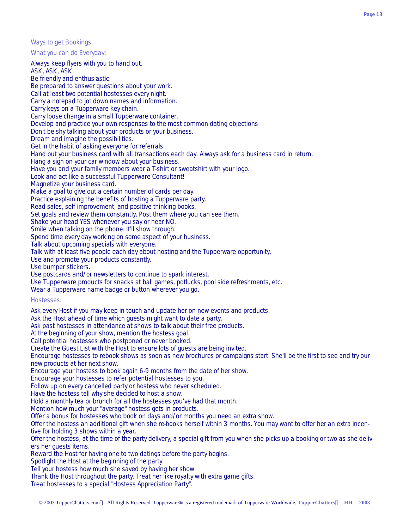#### *Ways to get Bookings*

What you can do Everyday:

Always keep flyers with you to hand out. ASK, ASK, ASK. Be friendly and enthusiastic. Be prepared to answer questions about your work. Call at least two potential hostesses every night. Carry a notepad to jot down names and information. Carry keys on a Tupperware key chain. Carry loose change in a small Tupperware container. Develop and practice your own responses to the most common dating objections Don't be shy talking about your products or your business. Dream and imagine the possibilities. Get in the habit of asking everyone for referrals. Hand out your business card with all transactions each day. Always ask for a business card in return. Hang a sign on your car window about your business. Have you and your family members wear a T-shirt or sweatshirt with your logo. Look and act like a successful Tupperware Consultant! Magnetize your business card. Make a goal to give out a certain number of cards per day. Practice explaining the benefits of hosting a Tupperware party. Read sales, self improvement, and positive thinking books. Set goals and review them constantly. Post them where you can see them. Shake your head YES whenever you say or hear NO. Smile when talking on the phone. It'll show through. Spend time every day working on some aspect of your business. Talk about upcoming specials with everyone. Talk with at least five people each day about hosting and the Tupperware opportunity. Use and promote your products constantly. Use bumper stickers. Use postcards and/or newsletters to continue to spark interest. Use Tupperware products for snacks at ball games, potlucks, pool side refreshments, etc. Wear a Tupperware name badge or button wherever you go. Hostesses: Ask every Host if you may keep in touch and update her on new events and products. Ask the Host ahead of time which guests might want to date a party. Ask past hostesses in attendance at shows to talk about their free products. At the beginning of your show, mention the hostess goal. Call potential hostesses who postponed or never booked. Create the Guest List with the Host to ensure lots of guests are being invited. Encourage hostesses to rebook shows as soon as new brochures or campaigns start. She'll be the first to see and try our new products at her next show. Encourage your hostess to book again 6-9 months from the date of her show. Encourage your hostesses to refer potential hostesses to you. Follow up on every cancelled party or hostess who never scheduled. Have the hostess tell why she decided to host a show. Hold a monthly tea or brunch for all the hostesses you've had that month. Mention how much your "average" hostess gets in products. Offer a bonus for hostesses who book on days and/or months you need an extra show. Offer the hostess an additional gift when she re-books herself within 3 months. You may want to offer her an extra incentive for holding 3 shows within a year. Offer the hostess, at the time of the party delivery, a special gift from you when she picks up a booking or two as she delivers her guests items. Reward the Host for having one to two datings before the party begins. Spotlight the Host at the beginning of the party. Tell your hostess how much she saved by having her show. Thank the Host throughout the party. Treat her like royalty with extra game gifts. Treat hostesses to a special "Hostess Appreciation Party".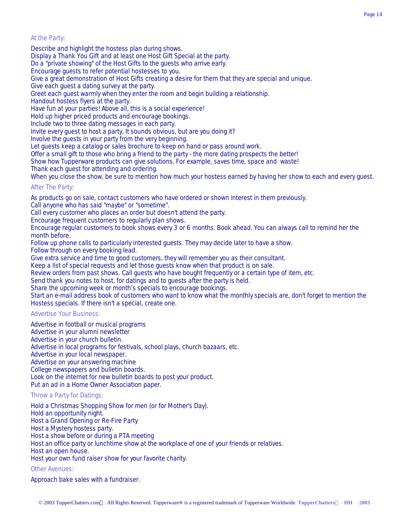## At the Party:

Describe and highlight the hostess plan during shows.

Display a Thank You Gift and at least one Host Gift Special at the party.

Do a "private showing" of the Host Gifts to the guests who arrive early.

Encourage guests to refer potential hostesses to you.

Give a great demonstration of Host Gifts creating a desire for them that they are special and unique.

Give each guest a dating survey at the party.

Greet each guest warmly when they enter the room and begin building a relationship.

Handout hostess flyers at the party.

Have fun at your parties! Above all, this is a social experience!

Hold up higher priced products and encourage bookings.

Include two to three dating messages in each party.

Invite every guest to host a party, It sounds obvious, but are you doing it?

Involve the guests in your party from the very beginning.

Let guests keep a catalog or sales brochure to keep on hand or pass around work.

Offer a small gift to those who bring a friend to the party - the more dating prospects the better!

Show how Tupperware products can give solutions. For example, saves time, space and waste!

Thank each guest for attending and ordering.

When you close the show, be sure to mention how much your hostess earned by having her show to each and every guest.

## After The Party:

As products go on sale, contact customers who have ordered or shown interest in them previously.

Call anyone who has said "maybe" or "sometime".

Call every customer who places an order but doesn't attend the party.

Encourage frequent customers to regularly plan shows.

Encourage regular customers to book shows every 3 or 6 months. Book ahead. You can always call to remind her the month before.

Follow up phone calls to particularly interested guests. They may decide later to have a show.

Follow through on every booking lead.

Give extra service and time to good customers, they will remember you as their consultant.

Keep a list of special requests and let those guests know when that product is on sale.

Review orders from past shows. Call guests who have bought frequently or a certain type of item, etc.

Send thank you notes to host, for datings and to guests after the party is held.

Share the upcoming week or month's specials to encourage bookings.

Start an e-mail address book of customers who want to know what the monthly specials are, don't forget to mention the Hostess specials. If there isn't a special, create one.

## Advertise Your Business:

Advertise in football or musical programs Advertise in your alumni newsletter Advertise in your church bulletin. Advertise in local programs for festivals, school plays, church bazaars, etc. Advertise in your local newspaper. Advertise on your answering machine College newspapers and bulletin boards. Look on the internet for new bulletin boards to post your product. Put an ad in a Home Owner Association paper.

## Throw a Party for Datings:

Hold a Christmas Shopping Show for men (or for Mother's Day). Hold an opportunity night. Host a Grand Opening or Re-Fire Party Host a Mystery hostess party. Host a show before or during a PTA meeting Host an office party or lunchtime show at the workplace of one of your friends or relatives. Host an open house. Host your own fund raiser show for your favorite charity.

## Other Avenues:

Approach bake sales with a fundraiser.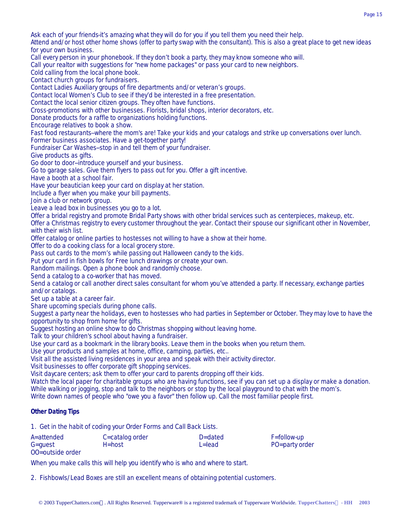Ask each of your friends-it's amazing what they will do for you if you tell them you need their help.

Attend and/or host other home shows (offer to party swap with the consultant). This is also a great place to get new ideas for your own business.

Call every person in your phonebook. If they don't book a party, they may know someone who will.

Call your realtor with suggestions for "new home packages" or pass your card to new neighbors.

Cold calling from the local phone book.

Contact church groups for fundraisers.

Contact Ladies Auxiliary groups of fire departments and/or veteran's groups.

Contact local Women's Club to see if they'd be interested in a free presentation.

Contact the local senior citizen groups. They often have functions.

Cross-promotions with other businesses. Florists, bridal shops, interior decorators, etc.

Donate products for a raffle to organizations holding functions.

Encourage relatives to book a show.

Fast food restaurants--where the mom's are! Take your kids and your catalogs and strike up conversations over lunch. Former business associates. Have a get-together party!

Fundraiser Car Washes--stop in and tell them of your fundraiser.

Give products as gifts.

Go door to door--introduce yourself and your business.

Go to garage sales. Give them flyers to pass out for you. Offer a gift incentive.

Have a booth at a school fair.

Have your beautician keep your card on display at her station.

Include a flyer when you make your bill payments.

Join a club or network group.

Leave a lead box in businesses you go to a lot.

Offer a bridal registry and promote Bridal Party shows with other bridal services such as centerpieces, makeup, etc.

Offer a Christmas registry to every customer throughout the year. Contact their spouse our significant other in November, with their wish list.

Offer catalog or online parties to hostesses not willing to have a show at their home.

Offer to do a cooking class for a local grocery store.

Pass out cards to the mom's while passing out Halloween candy to the kids.

Put your card in fish bowls for Free lunch drawings or create your own.

Random mailings. Open a phone book and randomly choose.

Send a catalog to a co-worker that has moved.

Send a catalog or call another direct sales consultant for whom you've attended a party. If necessary, exchange parties and/or catalogs.

Set up a table at a career fair.

Share upcoming specials during phone calls.

Suggest a party near the holidays, even to hostesses who had parties in September or October. They may love to have the opportunity to shop from home for gifts.

Suggest hosting an online show to do Christmas shopping without leaving home.

Talk to your children's school about having a fundraiser.

Use your card as a bookmark in the library books. Leave them in the books when you return them.

Use your products and samples at home, office, camping, parties, etc..

Visit all the assisted living residences in your area and speak with their activity director.

Visit businesses to offer corporate gift shopping services.

Visit daycare centers; ask them to offer your card to parents dropping off their kids.

Watch the local paper for charitable groups who are having functions, see if you can set up a display or make a donation. While walking or jogging, stop and talk to the neighbors or stop by the local playground to chat with the mom's.

Write down names of people who "owe you a favor" then follow up. Call the most familiar people first.

## **Other Dating Tips**

1. Get in the habit of coding your Order Forms and Call Back Lists.

| $F =$ follow-up |
|-----------------|
| PO=party order  |
|                 |

OO=outside order

When you make calls this will help you identify who is who and where to start.

2. Fishbowls/Lead Boxes are still an excellent means of obtaining potential customers.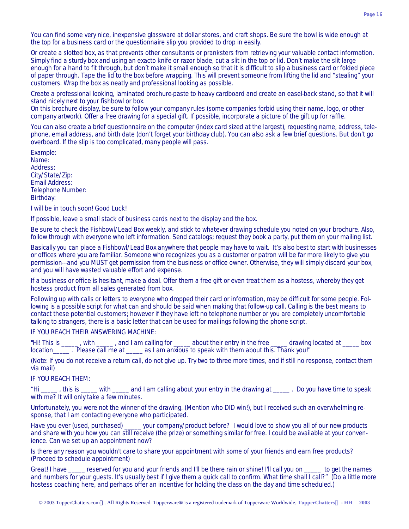You can find some very nice, inexpensive glassware at dollar stores, and craft shops. Be sure the bowl is wide enough at the top for a business card or the questionnaire slip you provided to drop in easily.

Or create a slotted box, as that prevents other consultants or pranksters from retrieving your valuable contact information. Simply find a sturdy box and using an exacto knife or razor blade, cut a slit in the top or lid. Don't make the slit large enough for a hand to fit through, but don't make it small enough so that it is difficult to slip a business card or folded piece of paper through. Tape the lid to the box before wrapping. This will prevent someone from lifting the lid and "stealing" your customers. Wrap the box as neatly and professional looking as possible.

Create a professional looking, laminated brochure-paste to heavy cardboard and create an easel-back stand, so that it will stand nicely next to your fishbowl or box.

On this brochure display, be sure to follow your company rules (some companies forbid using their name, logo, or other company artwork). Offer a free drawing for a special gift. If possible, incorporate a picture of the gift up for raffle.

You can also create a brief questionnaire on the computer (index card sized at the largest), requesting name, address, telephone, email address, and birth date (don't forget your birthday club). You can also ask a few brief questions. But don't go overboard. If the slip is too complicated, many people will pass.

Example: Name: Address: City/State/Zip: Email Address: Telephone Number: Birthday:

I will be in touch soon! Good Luck!

If possible, leave a small stack of business cards next to the display and the box.

Be sure to check the Fishbowl/Lead Box weekly, and stick to whatever drawing schedule you noted on your brochure. Also, follow through with everyone who left information. Send catalogs; request they book a party, put them on your mailing list.

Basically you can place a Fishbowl/Lead Box anywhere that people may have to wait. It's also best to start with businesses or offices where you are familiar. Someone who recognizes you as a customer or patron will be far more likely to give you permission---and you MUST get permission from the business or office owner. Otherwise, they will simply discard your box, and you will have wasted valuable effort and expense.

If a business or office is hesitant, make a deal. Offer them a free gift or even treat them as a hostess, whereby they get hostess product from all sales generated from box.

Following up with calls or letters to everyone who dropped their card or information, may be difficult for some people. Following is a possible script for what can and should be said when making that follow-up call. Calling is the best means to contact these potential customers; however if they have left no telephone number or you are completely uncomfortable talking to strangers, there is a basic letter that can be used for mailings following the phone script.

IF YOU REACH THEIR ANSWERING MACHINE:

"Hi! This is \_\_\_\_\_, with \_\_\_\_, and I am calling for \_\_\_\_\_ about their entry in the free \_\_\_\_\_ drawing located at \_\_\_\_ box location\_\_\_\_\_\_\_. Please call me at \_\_\_\_\_\_ as I am anxious to speak with them about this. Thank you!"

(Note: If you do not receive a return call, do not give up. Try two to three more times, and if still no response, contact them via mail)

IF YOU REACH THEM:

"Hi \_\_\_\_\_ , this is \_\_\_\_\_ with \_\_\_\_\_ and I am calling about your entry in the drawing at \_\_\_\_\_ . Do you have time to speak with me? It will only take a few minutes.

Unfortunately, you were not the winner of the drawing. (Mention who DID win!), but I received such an overwhelming response, that I am contacting everyone who participated.

Have you ever (used, purchased) \_\_\_\_\_ your company/product before? I would love to show you all of our new products and share with you how you can still receive (the prize) or something similar for free. I could be available at your convenience. Can we set up an appointment now?

Is there any reason you wouldn't care to share your appointment with some of your friends and earn free products? (Proceed to schedule appointment)

Great! I have \_\_\_\_\_ reserved for you and your friends and I'll be there rain or shine! I'll call you on \_\_\_\_\_ to get the names and numbers for your guests. It's usually best if I give them a quick call to confirm. What time shall I call?" (Do a little more hostess coaching here, and perhaps offer an incentive for holding the class on the day and time scheduled.)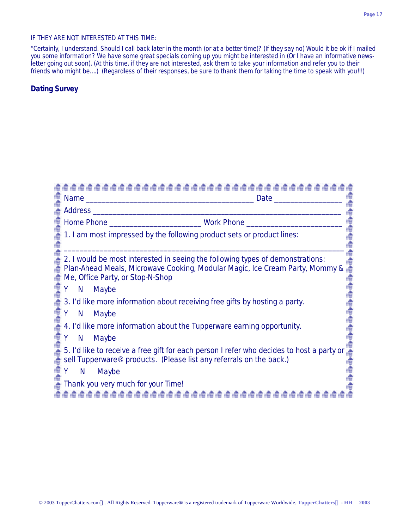## IF THEY ARE NOT INTERESTED AT THIS TIME:

"Certainly, I understand. Should I call back later in the month (or at a better time)? (If they say no) Would it be ok if I mailed you some information? We have some great specials coming up you might be interested in (Or I have an informative newsletter going out soon). (At this time, if they are not interested, ask them to take your information and refer you to their friends who might be….) (Regardless of their responses, be sure to thank them for taking the time to speak with you!!!)

## **Dating Survey**

|           | Date                                                                                                                                                                                               |
|-----------|----------------------------------------------------------------------------------------------------------------------------------------------------------------------------------------------------|
|           | Address and the contract of the contract of the contract of the contract of the contract of the contract of the                                                                                    |
|           |                                                                                                                                                                                                    |
|           | 1. I am most impressed by the following product sets or product lines:                                                                                                                             |
|           |                                                                                                                                                                                                    |
|           | 2. I would be most interested in seeing the following types of demonstrations:<br>Plan-Ahead Meals, Microwave Cooking, Modular Magic, Ice Cream Party, Mommy &<br>Me, Office Party, or Stop-N-Shop |
| N.        | Maybe                                                                                                                                                                                              |
|           | 3. I'd like more information about receiving free gifts by hosting a party.                                                                                                                        |
| Y N Maybe |                                                                                                                                                                                                    |
|           | 4. I'd like more information about the Tupperware earning opportunity.                                                                                                                             |
| Y.        | N Maybe                                                                                                                                                                                            |
|           | 5. I'd like to receive a free gift for each person I refer who decides to host a party or<br>sell Tupperware <sup>®</sup> products. (Please list any referrals on the back.)                       |
| Y.<br>N   | Maybe                                                                                                                                                                                              |
|           | Thank you very much for your Time!                                                                                                                                                                 |
|           | 19191919191919191                                                                                                                                                                                  |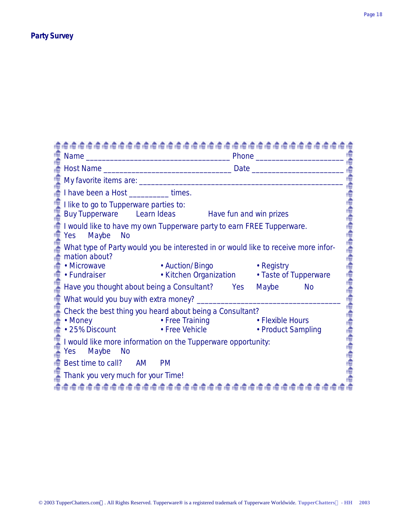## **Party Survey**

| I have been a Host __________times.                                                                                                |                                                                                              |                    |           |
|------------------------------------------------------------------------------------------------------------------------------------|----------------------------------------------------------------------------------------------|--------------------|-----------|
| I like to go to Tupperware parties to:<br>Buy Tupperware Learn Ideas Have fun and win prizes                                       |                                                                                              |                    |           |
| I would like to have my own Tupperware party to earn FREE Tupperware.<br>Yes<br>Maybe<br><b>No</b>                                 |                                                                                              |                    |           |
| What type of Party would you be interested in or would like to receive more infor-<br>mation about?<br>• Microwave<br>• Fundraiser | • Auction/Bingo                   • Registry<br>• Kitchen Organization • Taste of Tupperware |                    |           |
|                                                                                                                                    |                                                                                              |                    |           |
| Have you thought about being a Consultant? Yes                                                                                     |                                                                                              | Maybe              | <b>No</b> |
| What would you buy with extra money? _______                                                                                       |                                                                                              |                    |           |
| Check the best thing you heard about being a Consultant?<br>• Money                                                                | • Free Training The Flexible Hours<br>• 25% Discount • Free Vehicle                          | • Product Sampling |           |
| I would like more information on the Tupperware opportunity:<br>Maybe<br>Yes<br>- No                                               |                                                                                              |                    |           |
| Best time to call? AM                                                                                                              | <b>PM</b>                                                                                    |                    |           |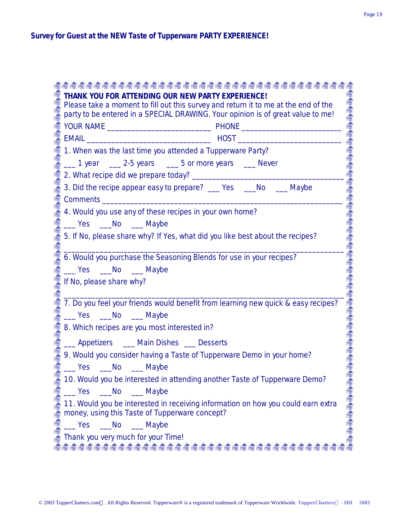| THANK YOU FOR ATTENDING OUR NEW PARTY EXPERIENCE!<br>Please take a moment to fill out this survey and return it to me at the end of the                                                                                                                               |  |
|-----------------------------------------------------------------------------------------------------------------------------------------------------------------------------------------------------------------------------------------------------------------------|--|
| party to be entered in a SPECIAL DRAWING. Your opinion is of great value to me!                                                                                                                                                                                       |  |
|                                                                                                                                                                                                                                                                       |  |
|                                                                                                                                                                                                                                                                       |  |
| 1. When was the last time you attended a Tupperware Party?                                                                                                                                                                                                            |  |
| 1 year 1975 years 1978 or more years 1988 bever                                                                                                                                                                                                                       |  |
|                                                                                                                                                                                                                                                                       |  |
| 3. Did the recipe appear easy to prepare? ___ Yes ___ No ___ Maybe                                                                                                                                                                                                    |  |
|                                                                                                                                                                                                                                                                       |  |
| 4. Would you use any of these recipes in your own home?                                                                                                                                                                                                               |  |
| No Maybe                                                                                                                                                                                                                                                              |  |
| 5. If No, please share why? If Yes, what did you like best about the recipes?                                                                                                                                                                                         |  |
| 6. Would you purchase the Seasoning Blends for use in your recipes?                                                                                                                                                                                                   |  |
| Ves __No __Maybe                                                                                                                                                                                                                                                      |  |
| If No, please share why?                                                                                                                                                                                                                                              |  |
|                                                                                                                                                                                                                                                                       |  |
| 7. Do you feel your friends would benefit from learning new quick & easy recipes?                                                                                                                                                                                     |  |
| No Maybe                                                                                                                                                                                                                                                              |  |
| 8. Which recipes are you most interested in?                                                                                                                                                                                                                          |  |
| ___ Appetizers ____ Main Dishes ___ Desserts                                                                                                                                                                                                                          |  |
| 9. Would you consider having a Taste of Tupperware Demo in your home?                                                                                                                                                                                                 |  |
| Ves No Maybe                                                                                                                                                                                                                                                          |  |
| 10. Would you be interested in attending another Taste of Tupperware Demo?                                                                                                                                                                                            |  |
|                                                                                                                                                                                                                                                                       |  |
| 11. Would you be interested in receiving information on how you could earn extra<br>money, using this Taste of Tupperware concept?                                                                                                                                    |  |
| 10. Would you be interested in atter<br>Yes _____No ________Maybe<br>11. Would you be interested in recei<br>money, using this Taste of Tupperware<br>Yes ______No _________Maybe<br>Thank you very much for your Time!<br>ते।<br>तेव्हर्क तेव्हर्क तेव्हर्क तेव्हर्क |  |
|                                                                                                                                                                                                                                                                       |  |
|                                                                                                                                                                                                                                                                       |  |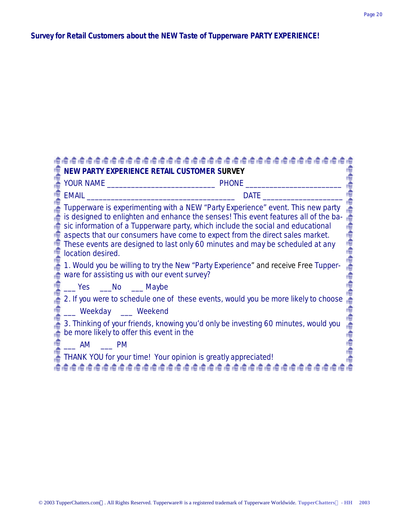# **Survey for Retail Customers about the NEW Taste of Tupperware PARTY EXPERIENCE!**

| NEW PARTY EXPERIENCE RETAIL CUSTOMER SURVEY                                                                                                                                                                                                                                                                                                                                                                                                     |
|-------------------------------------------------------------------------------------------------------------------------------------------------------------------------------------------------------------------------------------------------------------------------------------------------------------------------------------------------------------------------------------------------------------------------------------------------|
|                                                                                                                                                                                                                                                                                                                                                                                                                                                 |
| EMAIL<br><b>DATE</b>                                                                                                                                                                                                                                                                                                                                                                                                                            |
| Tupperware is experimenting with a NEW "Party Experience" event. This new party<br>is designed to enlighten and enhance the senses! This event features all of the ba-<br>sic information of a Tupperware party, which include the social and educational<br>aspects that our consumers have come to expect from the direct sales market.<br>These events are designed to last only 60 minutes and may be scheduled at any<br>location desired. |
| 1. Would you be willing to try the New "Party Experience" and receive Free Tupper-<br>ware for assisting us with our event survey?                                                                                                                                                                                                                                                                                                              |
| ___ Yes ____No ____ Maybe                                                                                                                                                                                                                                                                                                                                                                                                                       |
| 2. If you were to schedule one of these events, would you be more likely to choose                                                                                                                                                                                                                                                                                                                                                              |
| __ Weekday __ Weekend                                                                                                                                                                                                                                                                                                                                                                                                                           |
| 3. Thinking of your friends, knowing you'd only be investing 60 minutes, would you<br>be more likely to offer this event in the                                                                                                                                                                                                                                                                                                                 |
| $\begin{array}{ccc} \text{AM} & \text{M} \end{array}$ PM                                                                                                                                                                                                                                                                                                                                                                                        |
| THANK YOU for your time! Your opinion is greatly appreciated!                                                                                                                                                                                                                                                                                                                                                                                   |
|                                                                                                                                                                                                                                                                                                                                                                                                                                                 |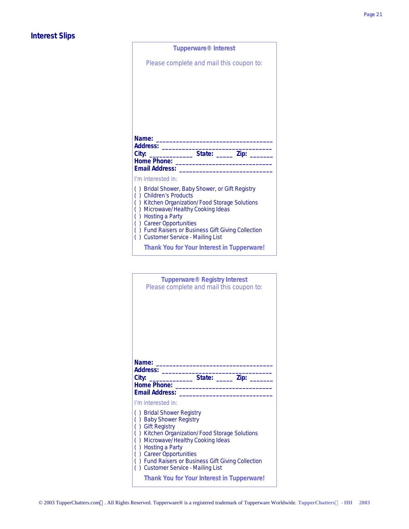## **Interest Slips**

| <b>Tupperware<sup>®</sup></b> Interest                                                       |
|----------------------------------------------------------------------------------------------|
| Please complete and mail this coupon to:                                                     |
|                                                                                              |
|                                                                                              |
|                                                                                              |
|                                                                                              |
|                                                                                              |
| Name:                                                                                        |
| Address:<br>_______ State: ______ Zip: _                                                     |
| <b>Home Phone:</b><br><b>Email Address:</b>                                                  |
| I'm interested in:                                                                           |
| () Bridal Shower, Baby Shower, or Gift Registry<br>) Children's Products<br>$\overline{(\ }$ |
| ) Kitchen Organization/Food Storage Solutions<br>(                                           |
| ) Microwave/Healthy Cooking Ideas<br>(<br>) Hosting a Party<br>(                             |
| () Career Opportunities<br>() Fund Raisers or Business Gift Giving Collection                |
| () Customer Service - Mailing List                                                           |
| Thank You for Your Interest in Tupperware!                                                   |
|                                                                                              |
| <b>Tupperware® Registry Interest</b>                                                         |
| Please complete and mail this coupon to:                                                     |
|                                                                                              |
|                                                                                              |
|                                                                                              |
|                                                                                              |
|                                                                                              |

| Name:<br>Address:<br>City:<br><b>Home Phone:</b><br><b>Email Address:</b> | State: <u>Zip:</u>                                                                                                                                                                                                                                                 |
|---------------------------------------------------------------------------|--------------------------------------------------------------------------------------------------------------------------------------------------------------------------------------------------------------------------------------------------------------------|
| I'm interested in:<br><b>Gift Registry</b><br>) Hosting a Party           | () Bridal Shower Registry<br><b>Baby Shower Registry</b><br>) Kitchen Organization/Food Storage Solutions<br>) Microwave/Healthy Cooking Ideas<br>) Career Opportunities<br>) Fund Raisers or Business Gift Giving Collection<br>) Customer Service - Mailing List |
|                                                                           | <b>Thank You for Your Interest in Tupperware!</b>                                                                                                                                                                                                                  |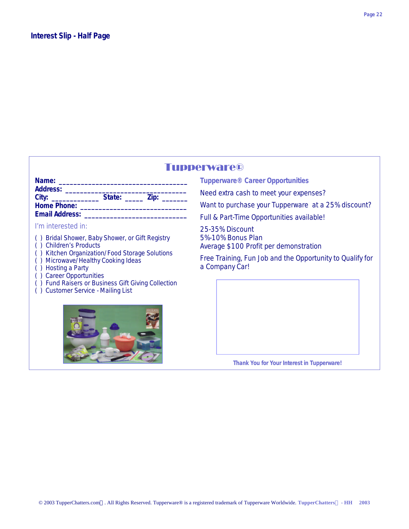## Tupperware®

| Name:                 |                |  |
|-----------------------|----------------|--|
| <b>Address:</b>       |                |  |
| City:                 | State:<br>Zip: |  |
| <b>Home Phone:</b>    |                |  |
| <b>Email Address:</b> |                |  |

## I'm interested in:

- ( ) Bridal Shower, Baby Shower, or Gift Registry
- ( ) Children's Products
- ( ) Kitchen Organization/Food Storage Solutions
- ( ) Microwave/Healthy Cooking Ideas
- ( ) Hosting a Party
- ( ) Career Opportunities
- ( ) Fund Raisers or Business Gift Giving Collection
- ( ) Customer Service Mailing List



**Tupperware® Career Opportunities**

Need extra cash to meet your expenses?

Want to purchase your Tupperware at a 25% discount?

Full & Part-Time Opportunities available!

25-35% Discount 5%-10% Bonus Plan Average \$100 Profit per demonstration

Free Training, Fun Job and the Opportunity to Qualify for a Company Car!

**Thank You for Your Interest in Tupperware!**